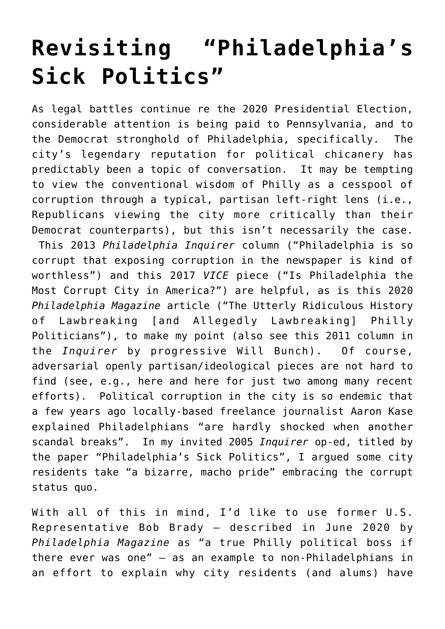## **[Revisiting "Philadelphia's](https://seanpatrickgriffin.net/revisiting-philadelphias-sick-politics/) [Sick Politics"](https://seanpatrickgriffin.net/revisiting-philadelphias-sick-politics/)**

As legal battles continue re the 2020 Presidential Election, considerable attention is being paid to Pennsylvania, and to the Democrat stronghold of Philadelphia, specifically. The city's legendary reputation for political chicanery has predictably been a topic of conversation. It may be tempting to view the conventional wisdom of Philly as a cesspool of corruption through a typical, partisan left-right lens (i.e., Republicans viewing the city more critically than their Democrat counterparts), but this isn't necessarily the case. [This](https://www.inquirer.com/philly/blogs/attytood/Philadelphia-is-so-corrupt-that-exposing-corruption-in-the-newspaper-is-kind-of-worthless.html) 2013 *Philadelphia Inquirer* column ("Philadelphia is so corrupt that exposing corruption in the newspaper is kind of worthless") and [this](https://www.vice.com/en/article/jp3vak/is-philadelphia-the-most-corrupt-city-in-america) 2017 *VICE* piece ("Is Philadelphia the Most Corrupt City in America?") are helpful, as is [this](https://www.phillymag.com/news/2020/02/04/philadelphia-corruption-kenyatta-johnson/) 2020 *Philadelphia Magazine* article ("The Utterly Ridiculous History of Lawbreaking [and Allegedly Lawbreaking] Philly Politicians"), to make my point (also see [this](https://www.inquirer.com/philly/blogs/attytood/Have-you-forgotten-Philadelphia-about-what-John-Street-did.html) 2011 column in the *Inquirer* by progressive Will Bunch). Of course, adversarial openly partisan/ideological pieces are not hard to find (see, e.g., [here](https://thefederalist.com/2020/11/06/american-hustle-party-insiders-tell-the-true-story-of-how-philadelphia-elections-work/) and [here](https://thefederalist.com/2020/11/06/american-hustle-party-insiders-tell-the-true-story-of-how-philadelphia-elections-work/) for just two among many recent efforts). Political corruption in the city is so endemic that a few years ago locally-based freelance journalist Aaron Kase [explained](https://www.vice.com/en/article/jp3vak/is-philadelphia-the-most-corrupt-city-in-america) Philadelphians "are hardly shocked when another scandal breaks". In my invited 2005 *Inquirer* op-ed, titled by the paper "Philadelphia's Sick Politics", I [argued](https://seanpatrickgriffin.net/philadelphias-sick-politics/) some city residents take "a bizarre, macho pride" embracing the corrupt status quo.

With all of this in mind, I'd like to use former U.S. Representative Bob Brady – [described](https://www.phillymag.com/news/2020/06/18/bob-brady-resign/) in June 2020 by *Philadelphia Magazine* as "a true Philly political boss if there ever was one" – as an example to non-Philadelphians in an effort to explain why city residents (and alums) have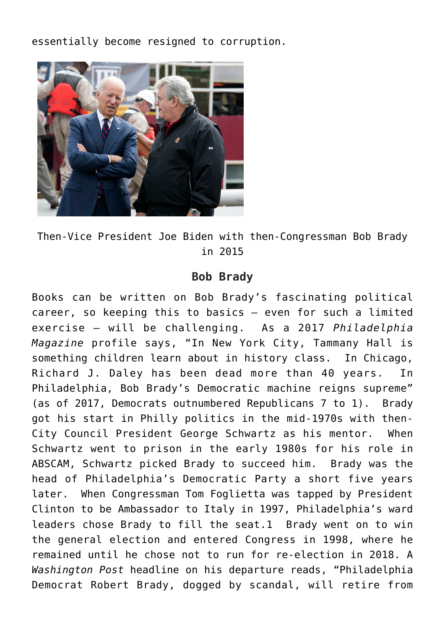essentially become resigned to corruption.



Then-Vice President Joe Biden [with](https://www.politicspa.com/pa-1-brady-pulling-for-biden-presidential-run/69534/) then-Congressman Bob Brady in 2015

## **Bob Brady**

Books can be written on Bob Brady's fascinating political career, so keeping this to basics – even for such a limited exercise – will be challenging. As a 2017 *Philadelphia Magazine* profile [says,](https://www.phillymag.com/news/2017/04/15/bob-brady-democratic-party/) "In New York City, Tammany Hall is something children learn about in history class. In Chicago, Richard J. Daley has been dead more than 40 years. In Philadelphia, Bob Brady's Democratic machine reigns supreme" (as of 2017, Democrats outnumbered Republicans 7 to 1). [Brady](https://www.phillymag.com/news/2017/04/15/bob-brady-democratic-party/) [got his start in Philly politics in the mid-1970s with then-](https://www.phillymag.com/news/2017/04/15/bob-brady-democratic-party/)[City Council President George Schwartz as his mentor.](https://www.phillymag.com/news/2017/04/15/bob-brady-democratic-party/) When Schwartz went to prison in the early 1980s for his role in [ABSCAM,](https://www.fbi.gov/history/famous-cases/abscam) Schwartz picked Brady to succeed him. Brady was the head of Philadelphia's Democratic Party a short five years later. When Congressman Tom Foglietta was tapped by President Clinton to be Ambassador to Italy in 1997, Philadelphia's ward leaders chose Brady to fill the seat.1 Brady went on to win the general election and entered Congress in 1998, where he remained until he chose not to run for re-election in 2018. A *Washington Post* [headline](https://www.washingtonpost.com/news/powerpost/wp/2018/01/31/philadelphia-democrat-bob-brady-dogged-by-scandal-will-retire-from-congress/) on his departure reads, "Philadelphia Democrat Robert Brady, dogged by scandal, will retire from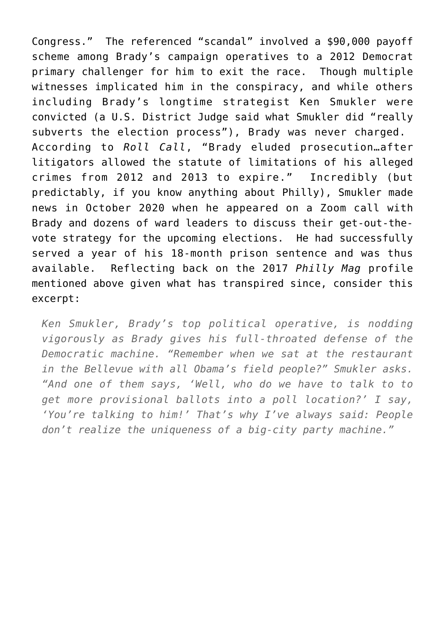Congress." The referenced "scandal" involved a \$90,000 payoff scheme among Brady's campaign operatives to a 2012 Democrat primary challenger for him to exit the race. Though multiple witnesses implicated him in the conspiracy, and while others including Brady's longtime strategist Ken Smukler were convicted (a U.S. District Judge [said](https://billypenn.com/2020/10/13/bob-brady-aide-philadelphia-ken-smukler-convicted-felcon-politics-democratic-campaign/) what Smukler did "really subverts the election process"), Brady was never charged. [According to](https://www.rollcall.com/2018/11/27/witnesses-implicate-rep-bob-brady-for-corruption-in-former-aides-trial/) *[Roll Call](https://www.rollcall.com/2018/11/27/witnesses-implicate-rep-bob-brady-for-corruption-in-former-aides-trial/)*, "Brady eluded prosecution…after litigators allowed the statute of limitations of his alleged crimes from 2012 and 2013 to expire." Incredibly (but predictably, if you know anything about Philly), Smukler [made](https://billypenn.com/2020/10/13/bob-brady-aide-philadelphia-ken-smukler-convicted-felcon-politics-democratic-campaign/) [news](https://billypenn.com/2020/10/13/bob-brady-aide-philadelphia-ken-smukler-convicted-felcon-politics-democratic-campaign/) in October 2020 when he appeared on a Zoom call with Brady and dozens of ward leaders to discuss their get-out-thevote strategy for the upcoming elections. He had successfully served a year of his 18-month prison sentence and was thus available. Reflecting back on the 2017 *Philly Mag* [profile](https://www.phillymag.com/news/2017/04/15/bob-brady-democratic-party/) mentioned above given what has transpired since, consider this excerpt:

*Ken Smukler, Brady's top political operative, is nodding vigorously as Brady gives his full-throated defense of the Democratic machine. "Remember when we sat at the restaurant in the Bellevue with all Obama's field people?" Smukler asks. "And one of them says, 'Well, who do we have to talk to to get more provisional ballots into a poll location?' I say, 'You're talking to him!' That's why I've always said: People don't realize the uniqueness of a big-city party machine."*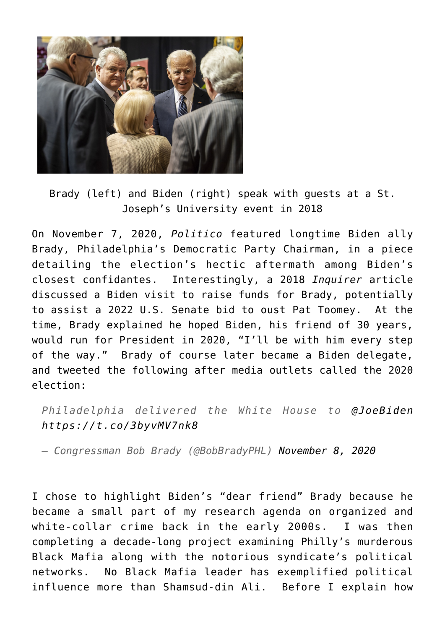

Brady (left) and Biden (right) speak with guests at a [St.](https://sites.sju.edu/lectureseries/2018/04/18/joe-biden/) [Joseph's University event in 2018](https://sites.sju.edu/lectureseries/2018/04/18/joe-biden/)

On November 7, 2020, *Politico* [featured](https://www.msn.com/en-us/news/politics/grief-relief-and-jubilation-how-bidens-team-survived-a-wild-five-days/ar-BB1aNzTt) longtime Biden ally Brady, Philadelphia's Democratic Party Chairman, in a piece detailing the election's hectic aftermath among Biden's closest confidantes. Interestingly, a 2018 *Inquirer* [article](https://www.inquirer.com/philly/columnists/clout/clout-patty-pat-kozlowski-safe-injection-site-bob-brady-senate-election-20181102.html) discussed a Biden visit to raise funds for Brady, potentially to assist a 2022 U.S. Senate bid to oust Pat Toomey. At the time, Brady explained he hoped Biden, his friend of 30 years, would run for President in 2020, "I'll be with him every step of the way." Brady of course later became a Biden delegate, and tweeted the following after media outlets called the 2020 election:

*Philadelphia delivered the White House to [@JoeBiden](https://twitter.com/JoeBiden?ref_src=twsrc%5Etfw) <https://t.co/3byvMV7nk8>*

*— Congressman Bob Brady (@BobBradyPHL) [November 8, 2020](https://twitter.com/BobBradyPHL/status/1325560035376771072?ref_src=twsrc%5Etfw)*

I chose to highlight Biden's "[dear friend](https://www.phillymag.com/news/2017/04/15/bob-brady-democratic-party/)" Brady because he became a small part of my research agenda on organized and white-collar crime back in the early 2000s. I was then completing a decade-long project examining Philly's murderous Black Mafia along with the notorious syndicate's political networks. No Black Mafia leader has exemplified political influence more than Shamsud-din Ali. Before I explain how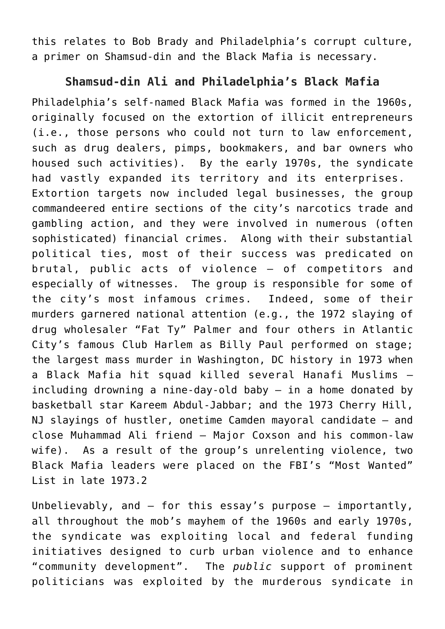this relates to Bob Brady and Philadelphia's corrupt culture, a primer on Shamsud-din and the Black Mafia is necessary.

## **Shamsud-din Ali and Philadelphia's Black Mafia**

Philadelphia's self-named [Black Mafia](https://seanpatrickgriffin.net/black-brothers-inc/) was formed in the 1960s, originally focused on the extortion of illicit entrepreneurs (i.e., those persons who could not turn to law enforcement, such as drug dealers, pimps, bookmakers, and bar owners who housed such activities). By the early 1970s, the syndicate had vastly expanded its territory and its enterprises. Extortion targets now included legal businesses, the group commandeered entire sections of the city's narcotics trade and gambling action, and they were involved in numerous (often sophisticated) financial crimes. Along with their substantial political ties, most of their success was predicated on brutal, public acts of violence – of competitors and especially of witnesses. The group is responsible for some of the city's most infamous crimes. Indeed, some of their murders garnered national attention (e.g., the 1972 slaying of drug wholesaler "Fat Ty" Palmer and four others in Atlantic City's famous Club Harlem as Billy Paul performed on stage; the largest mass murder in Washington, DC history in 1973 when a Black Mafia hit squad killed several Hanafi Muslims – including drowning a nine-day-old baby – in a home donated by basketball star Kareem Abdul-Jabbar; and the 1973 Cherry Hill, NJ slayings of hustler, onetime Camden mayoral candidate – and close Muhammad Ali friend – Major Coxson and his common-law wife). As a result of the group's unrelenting violence, two Black Mafia leaders were placed on the FBI's "Most Wanted" List in late 1973.2

Unbelievably, and – for this essay's purpose – importantly, all throughout the mob's mayhem of the 1960s and early 1970s, the syndicate was exploiting local and federal funding initiatives designed to curb urban violence and to enhance "community development". The *public* support of prominent politicians was exploited by the murderous syndicate in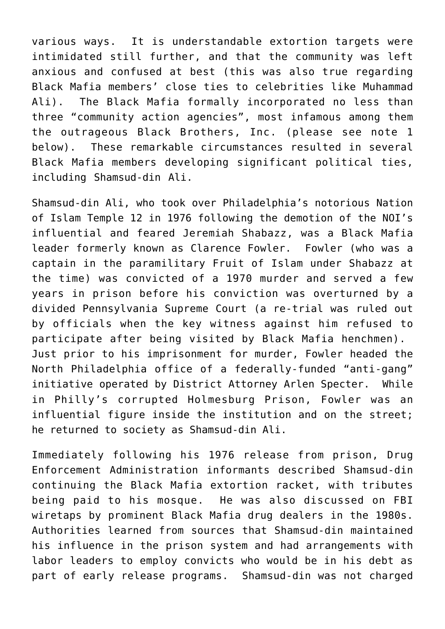various ways. It is understandable extortion targets were intimidated still further, and that the community was left anxious and confused at best (this was also true regarding Black Mafia members' close ties to celebrities [like Muhammad](https://seanpatrickgriffin.net/muhammad-ali-philadelphias-black-mafia/) [Ali\)](https://seanpatrickgriffin.net/muhammad-ali-philadelphias-black-mafia/). The Black Mafia formally incorporated no less than three "community action agencies", most infamous among them the outrageous Black Brothers, Inc. (please see note 1 below). These remarkable circumstances resulted in several Black Mafia members developing significant political ties, including Shamsud-din Ali.

Shamsud-din Ali, who took over Philadelphia's notorious Nation of Islam Temple 12 in 1976 following the demotion of [the NOI's](http://seanpatrickgriffin.blogspot.com/2016/06/muhammad-ali-and-philadelphias-black.html) [influential and feared Jeremiah Shabazz,](http://seanpatrickgriffin.blogspot.com/2016/06/muhammad-ali-and-philadelphias-black.html) was a Black Mafia leader formerly known as Clarence Fowler. Fowler (who was a captain in the paramilitary Fruit of Islam under Shabazz at the time) was convicted of a 1970 murder and served a few years in prison before his conviction was overturned by a divided Pennsylvania Supreme Court (a re-trial was ruled out by officials when the key witness against him refused to participate after being visited by Black Mafia henchmen). Just prior to his imprisonment for murder, Fowler headed the North Philadelphia office of a federally-funded "anti-gang" initiative operated by District Attorney Arlen Specter. While in Philly's corrupted Holmesburg Prison, Fowler was an influential figure inside the institution and on the street; he returned to society as Shamsud-din Ali.

Immediately following his 1976 release from prison, Drug Enforcement Administration informants described Shamsud-din continuing the Black Mafia extortion racket, with tributes being paid to his mosque. He was also discussed on FBI wiretaps by prominent Black Mafia drug dealers in the 1980s. Authorities learned from sources that Shamsud-din maintained his influence in the prison system and had arrangements with labor leaders to employ convicts who would be in his debt as part of early release programs. Shamsud-din was not charged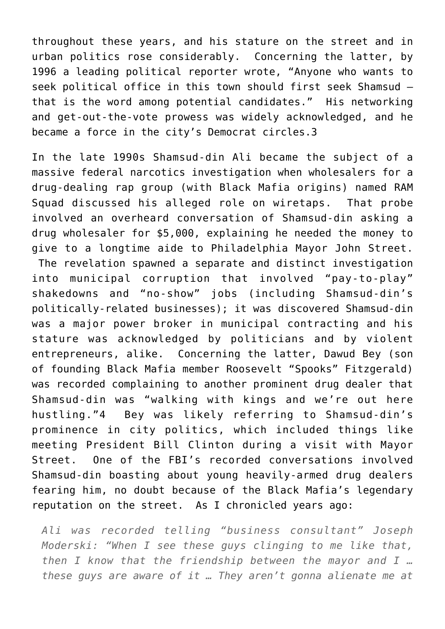throughout these years, and his stature on the street and in urban politics rose considerably. Concerning the latter, by 1996 a leading political reporter [wrote](https://mycitypaper.com/articles/062796/article027.shtml), "Anyone who wants to seek political office in this town should first seek Shamsud that is the word among potential candidates." His networking and get-out-the-vote prowess was widely acknowledged, and he became a force in the city's Democrat circles.3

In the late 1990s Shamsud-din Ali became the subject of a massive federal narcotics investigation when wholesalers for [a](http://articles.philly.com/2003-12-21/news/25471183_1_rap-group-drug-ring-drug-dealer) [drug-dealing rap group](http://articles.philly.com/2003-12-21/news/25471183_1_rap-group-drug-ring-drug-dealer) (with Black Mafia origins) named RAM Squad discussed his alleged role on wiretaps. That probe involved an overheard conversation of Shamsud-din asking a drug wholesaler for \$5,000, explaining he needed the money to give to a longtime aide to Philadelphia Mayor John Street. The revelation spawned a separate and distinct investigation into municipal corruption that involved "pay-to-play" shakedowns and "no-show" jobs (including Shamsud-din's politically-related businesses); it was discovered Shamsud-din was a major power broker in municipal contracting and [his](http://mycitypaper.com/articles/062796/article027.shtml) [stature was acknowledged by politicians](http://mycitypaper.com/articles/062796/article027.shtml) and by violent entrepreneurs, alike. Concerning the latter, Dawud Bey (son of founding Black Mafia member Roosevelt "Spooks" Fitzgerald) was recorded complaining to another prominent drug dealer that Shamsud-din was "walking with kings and we're out here hustling."4 Bey was likely referring to Shamsud-din's prominence in city politics, which included things like meeting President Bill Clinton during a visit with Mayor Street. One of the FBI's recorded conversations involved Shamsud-din boasting about young heavily-armed drug dealers fearing him, no doubt because of the Black Mafia's legendary reputation on the street. As I chronicled years ago:

*Ali was recorded telling "business consultant" Joseph Moderski: "When I see these guys clinging to me like that, then I know that the friendship between the mayor and I … these guys are aware of it … They aren't gonna alienate me at*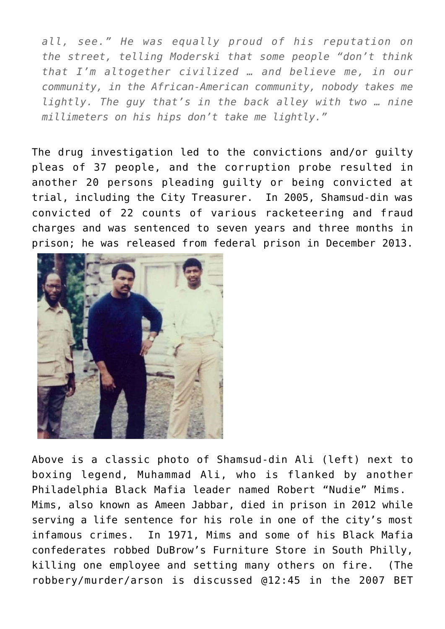*all, see." He was equally proud of his reputation on the street, telling Moderski that some people "don't think that I'm altogether civilized … and believe me, in our community, in the African-American community, nobody takes me lightly. The guy that's in the back alley with two … nine millimeters on his hips don't take me lightly."*

The drug investigation led to the convictions and/or guilty pleas of 37 people, and the corruption probe resulted in another 20 persons pleading guilty or being convicted at trial, including the City Treasurer. In 2005, [Shamsud-din was](http://articles.philly.com/2005-09-20/news/25429827_1_ali-racketeering-muslim-community) [convicted of 22 counts of various racketeering and fraud](http://articles.philly.com/2005-09-20/news/25429827_1_ali-racketeering-muslim-community) [charges and was sentenced to seven years and three months in](http://articles.philly.com/2005-09-20/news/25429827_1_ali-racketeering-muslim-community) [prison](http://articles.philly.com/2005-09-20/news/25429827_1_ali-racketeering-muslim-community); he was released from federal prison in December 2013.



Above is [a classic photo of Shamsud-din Ali \(left\) next to](https://seanpatrickgriffin.net/boxing-legend-muhammad-ali-with-philly-black-mafia-heavyweights-nudie-mims-and-shamdsud-din-ali/) [boxing legend, Muhammad Ali, who is flanked by another](https://seanpatrickgriffin.net/boxing-legend-muhammad-ali-with-philly-black-mafia-heavyweights-nudie-mims-and-shamdsud-din-ali/) [Philadelphia Black Mafia leader named Robert "Nudie" Mims.](https://seanpatrickgriffin.net/boxing-legend-muhammad-ali-with-philly-black-mafia-heavyweights-nudie-mims-and-shamdsud-din-ali/) Mims, also known as Ameen Jabbar, died in prison in 2012 while serving a life sentence for his role in one of the city's most infamous crimes. In 1971, Mims and some of his Black Mafia confederates robbed DuBrow's Furniture Store in South Philly, killing one employee and setting many others on fire. (The robbery/murder/arson is discussed @12:45 in the [2007 BET](https://seanpatrickgriffin.net/philly-black-mafia-do-for-self/)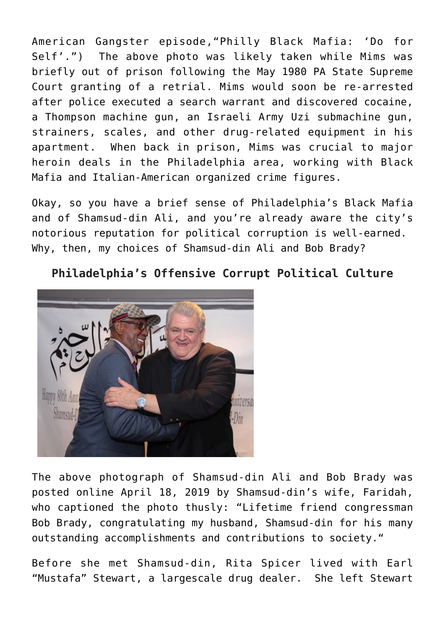[American Gangster episode,"Philly Black Mafia: 'Do for](https://seanpatrickgriffin.net/philly-black-mafia-do-for-self/) [Self'](https://seanpatrickgriffin.net/philly-black-mafia-do-for-self/).") The above photo was likely taken while Mims was briefly out of prison following the May 1980 PA State Supreme Court granting of a retrial. Mims would soon be re-arrested after police executed a search warrant and discovered cocaine, a Thompson machine gun, an Israeli Army Uzi submachine gun, strainers, scales, and other drug-related equipment in his apartment. When back in prison, Mims was crucial to major heroin deals in the Philadelphia area, working with Black Mafia and Italian-American organized crime figures.

Okay, so you have a brief sense of Philadelphia's Black Mafia and of Shamsud-din Ali, and you're already aware the city's notorious reputation for political corruption is well-earned. Why, then, my choices of Shamsud-din Ali and Bob Brady?

**Philadelphia's Offensive Corrupt Political Culture**



The above photograph of Shamsud-din Ali and Bob Brady was [posted online](https://www.instagram.com/p/BwYn5SAHyNQ/) April 18, 2019 by Shamsud-din's wife, Faridah, who captioned the photo thusly: "Lifetime friend congressman Bob Brady, congratulating my husband, Shamsud-din for his many outstanding accomplishments and contributions to society."

Before she met Shamsud-din, Rita Spicer lived with Earl "Mustafa" Stewart, a largescale drug dealer. She left Stewart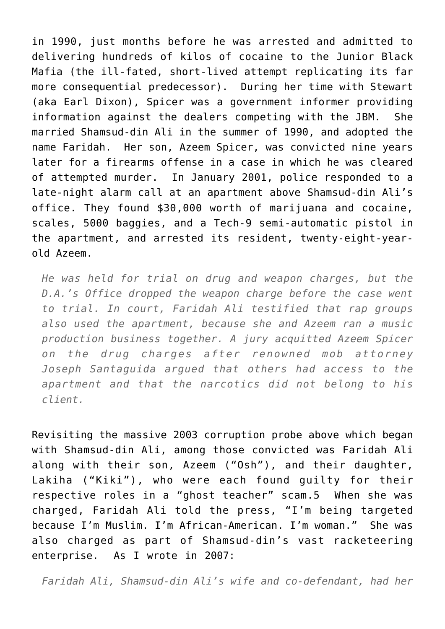in 1990, just months before he was arrested and admitted to delivering hundreds of kilos of cocaine to the Junior Black Mafia (the ill-fated, short-lived attempt replicating its far more consequential predecessor). During her time with Stewart (aka Earl Dixon), Spicer was a government informer providing information against the dealers competing with the JBM. She married Shamsud-din Ali in the summer of 1990, and adopted the name Faridah. Her son, Azeem Spicer, was convicted nine years later for a firearms offense in a case in which he was cleared of attempted murder. In January 2001, police responded to a late-night alarm call at an apartment above Shamsud-din Ali's office. They found \$30,000 worth of marijuana and cocaine, scales, 5000 baggies, and a Tech-9 semi-automatic pistol in the apartment, and arrested its resident, twenty-eight-yearold Azeem.

*He was held for trial on drug and weapon charges, but the D.A.'s Office dropped the weapon charge before the case went to trial. In court, Faridah Ali testified that rap groups also used the apartment, because she and Azeem ran a music production business together. A jury acquitted Azeem Spicer on the drug charges after renowned mob attorney Joseph Santaguida argued that others had access to the apartment and that the narcotics did not belong to his client.*

Revisiting the massive 2003 corruption probe above which began with Shamsud-din Ali, among those convicted was Faridah Ali along with their son, Azeem ("Osh"), and their daughter, Lakiha ("Kiki"), [who were each found guilty for their](http://articles.philly.com/2004-10-31/news/25390545_1_muslim-school-fbi-wiretap-tapes) [respective roles in a "ghost teacher" scam](http://articles.philly.com/2004-10-31/news/25390545_1_muslim-school-fbi-wiretap-tapes).5 When she was charged, Faridah Ali told the press, "I'm being targeted because I'm Muslim. I'm African-American. I'm woman." She was also charged as part of Shamsud-din's vast racketeering enterprise. As I wrote in 2007:

*Faridah Ali, Shamsud-din Ali's wife and co-defendant, had her*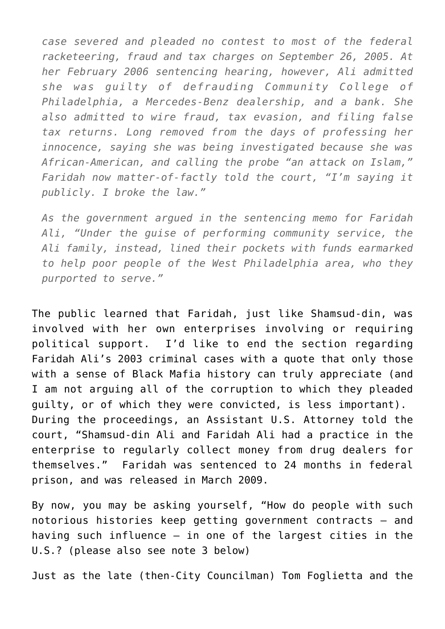*case severed and pleaded no contest to most of the federal racketeering, fraud and tax charges on September 26, 2005. At her February 2006 sentencing hearing, however, Ali admitted she was guilty of defrauding Community College of Philadelphia, a Mercedes-Benz dealership, and a bank. She also admitted to wire fraud, tax evasion, and filing false tax returns. Long removed from the days of professing her innocence, saying she was being investigated because she was African-American, and calling the probe "an attack on Islam," Faridah now matter-of-factly told the court, "I'm saying it publicly. I broke the law."*

*As the government argued in the sentencing memo for Faridah Ali, "Under the guise of performing community service, the Ali family, instead, lined their pockets with funds earmarked to help poor people of the West Philadelphia area, who they purported to serve."*

The public learned that Faridah, just like Shamsud-din, was involved with her own enterprises involving or requiring political support. I'd like to end the section regarding Faridah Ali's 2003 criminal cases with a quote that only those with a sense of Black Mafia history can truly appreciate (and I am not arguing all of the corruption to which they pleaded guilty, or of which they were convicted, is less important). During the proceedings, an Assistant U.S. Attorney told the court, "Shamsud-din Ali and Faridah Ali had a practice in the enterprise to regularly collect money from drug dealers for themselves." Faridah was sentenced to 24 months in federal prison, and was released in March 2009.

By now, you may be asking yourself, "How do people with such notorious histories keep getting government contracts – and having such influence – in one of the largest cities in the U.S.? (please also see note 3 below)

Just as the late (then-City Councilman) Tom Foglietta and the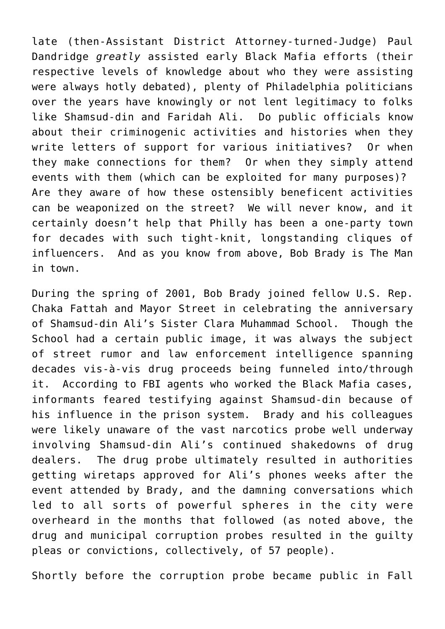late (then-Assistant District Attorney-turned-Judge) Paul Dandridge *greatly* assisted early Black Mafia efforts (their respective levels of knowledge about who they were assisting were always hotly debated), plenty of Philadelphia politicians over the years have knowingly or not lent legitimacy to folks like Shamsud-din and Faridah Ali. Do public officials know about their criminogenic activities and histories when they write letters of support for various initiatives? Or when they make connections for them? Or when they simply attend events with them (which can be exploited for many purposes)? Are they aware of how these ostensibly beneficent activities can be weaponized on the street? We will never know, and it certainly doesn't help that Philly has been a one-party town for decades with such tight-knit, longstanding cliques of influencers. And as you know from above, Bob Brady is The Man in town.

During the spring of 2001, Bob Brady joined fellow U.S. Rep. Chaka Fattah and Mayor Street in celebrating the anniversary of Shamsud-din Ali's Sister Clara Muhammad School. Though the School had a certain public image, it was always the subject of street rumor and law enforcement intelligence spanning decades vis-à-vis drug proceeds being funneled into/through it. According to FBI agents who worked the Black Mafia cases, informants feared testifying against Shamsud-din because of his influence in the prison system. Brady and his colleagues were likely unaware of the vast narcotics probe well underway involving Shamsud-din Ali's continued shakedowns of drug dealers. The drug probe ultimately resulted in authorities getting wiretaps approved for Ali's phones weeks after the event attended by Brady, and the damning conversations which led to all sorts of powerful spheres in the city were overheard in the months that followed (as noted above, the drug and municipal corruption probes resulted in the guilty pleas or convictions, collectively, of 57 people).

Shortly before the corruption probe became public in Fall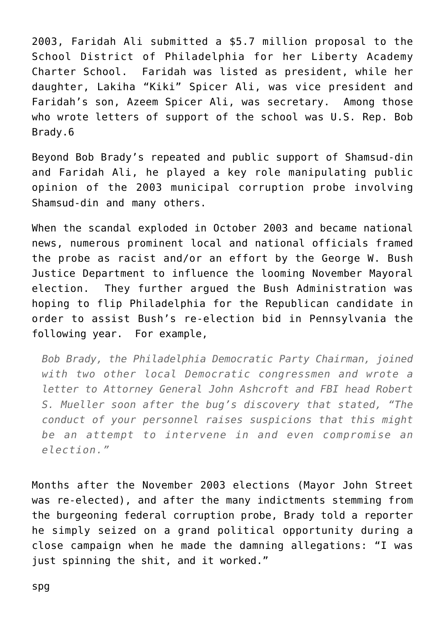2003, Faridah Ali submitted a \$5.7 million proposal to the School District of Philadelphia for her Liberty Academy Charter School. Faridah was listed as president, while her daughter, Lakiha "Kiki" Spicer Ali, was vice president and Faridah's son, Azeem Spicer Ali, was secretary. Among those who wrote letters of support of the school was U.S. Rep. Bob Brady.6

Beyond Bob Brady's repeated and public support of Shamsud-din and Faridah Ali, he played a key role manipulating public opinion of the 2003 municipal corruption probe involving Shamsud-din and many others.

When the scandal exploded in October 2003 and became national news, numerous prominent local and national officials framed the probe as racist and/or an effort by the George W. Bush Justice Department to influence the looming November Mayoral election. They further argued the Bush Administration was hoping to flip Philadelphia for the Republican candidate in order to assist Bush's re-election bid in Pennsylvania the following year. For example,

*Bob Brady, the Philadelphia Democratic Party Chairman, joined with two other local Democratic congressmen and wrote a letter to Attorney General John Ashcroft and FBI head Robert S. Mueller soon after the bug's discovery that stated, "The conduct of your personnel raises suspicions that this might be an attempt to intervene in and even compromise an election."*

Months after the November 2003 elections (Mayor John Street was re-elected), and after the many indictments stemming from the burgeoning federal corruption probe, Brady told a reporter he simply seized on a grand political opportunity during a close campaign when he made the damning allegations: "I was just spinning the shit, and it worked."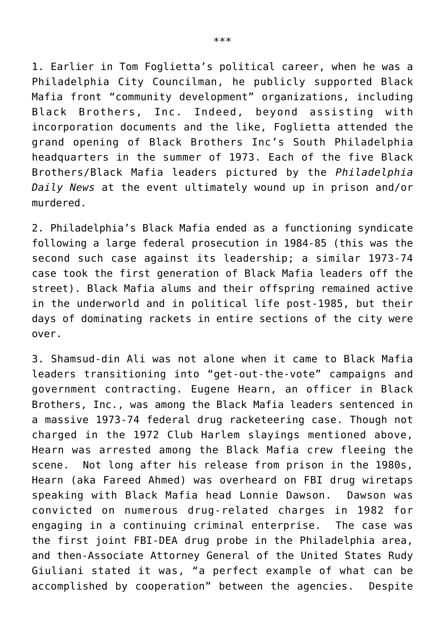1. Earlier in Tom Foglietta's political career, when he was a Philadelphia City Councilman, he publicly supported Black Mafia front "community development" organizations, including Black Brothers, Inc. Indeed, beyond assisting with incorporation documents and the like, Foglietta attended the grand opening of Black Brothers Inc's South Philadelphia headquarters in the summer of 1973. Each of the five Black Brothers/Black Mafia leaders pictured by the *Philadelphia Daily News* at the event ultimately wound up in prison and/or murdered.

2. Philadelphia's Black Mafia ended as a functioning syndicate following a large federal prosecution in 1984-85 (this was the second such case against its leadership; a similar 1973-74 case took the first generation of Black Mafia leaders off the street). Black Mafia alums and their offspring remained active in the underworld and in political life post-1985, but their days of dominating rackets in entire sections of the city were over.

3. Shamsud-din Ali was not alone when it came to Black Mafia leaders transitioning into "get-out-the-vote" campaigns and government contracting. Eugene Hearn, an officer in Black Brothers, Inc., was among the Black Mafia leaders sentenced in a massive 1973-74 federal drug racketeering case. Though not charged in the 1972 Club Harlem slayings mentioned above, Hearn was arrested among the Black Mafia crew fleeing the scene. Not long after his release from prison in the 1980s, Hearn (aka Fareed Ahmed) was overheard on FBI drug wiretaps speaking with Black Mafia head Lonnie Dawson. Dawson was convicted on numerous drug-related charges in 1982 for engaging in a continuing criminal enterprise. The case was the first joint FBI-DEA drug probe in the Philadelphia area, and then-Associate Attorney General of the United States Rudy Giuliani stated it was, "a perfect example of what can be accomplished by cooperation" between the agencies. Despite

\*\*\*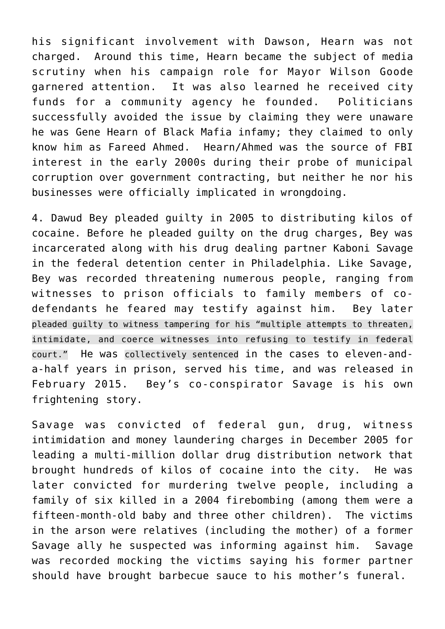his significant involvement with Dawson, Hearn was not charged. Around this time, Hearn became the subject of media scrutiny when his campaign role for Mayor Wilson Goode garnered attention. It was also learned he received city funds for a community agency he founded. Politicians successfully avoided the issue by claiming they were unaware he was Gene Hearn of Black Mafia infamy; they claimed to only know him as Fareed Ahmed. Hearn/Ahmed was the source of FBI interest in the early 2000s during their probe of municipal corruption over government contracting, but neither he nor his businesses were officially implicated in wrongdoing.

4. Dawud Bey pleaded guilty in 2005 to distributing kilos of cocaine. Before he pleaded guilty on the drug charges, Bey was incarcerated along with his drug dealing partner Kaboni Savage in the federal detention center in Philadelphia. Like Savage, Bey was recorded threatening numerous people, ranging from witnesses to prison officials to family members of codefendants he feared may testify against him. Bey later [pleaded guilty to witness tampering for his "multiple attempts to threaten,](https://archives.fbi.gov/archives/philadelphia/press-releases/2010/ph030110.htm) [intimidate, and coerce witnesses into refusing to testify in federal](https://archives.fbi.gov/archives/philadelphia/press-releases/2010/ph030110.htm) [court."](https://archives.fbi.gov/archives/philadelphia/press-releases/2010/ph030110.htm) He was [collectively sentenced](http://www.philly.com/dailynews/local/20100528_Federal_judge_gives_drug_trafficker_a_36-month_term_for_witness-tampering.html#axzz0pDbQuJMS) in the cases to eleven-anda-half years in prison, served his time, and was released in February 2015. Bey's co-conspirator Savage is his own frightening story.

Savage was convicted of federal gun, drug, witness intimidation and money laundering charges in December 2005 for leading a multi-million dollar drug distribution network that brought hundreds of kilos of cocaine into the city. He was later convicted for murdering twelve people, including a family of six killed in a 2004 firebombing (among them were a fifteen-month-old baby and three other children). The victims in the arson were relatives (including the mother) of a former Savage ally he suspected was informing against him. Savage was recorded mocking the victims saying his former partner should have brought barbecue sauce to his mother's funeral.